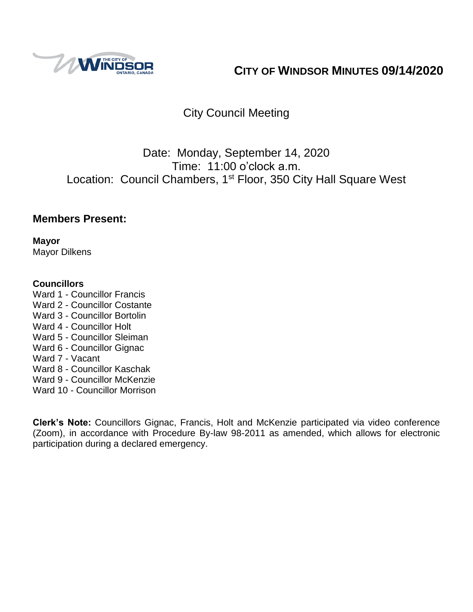

# **CITY OF WINDSOR MINUTES 09/14/2020**

# City Council Meeting

# Date: Monday, September 14, 2020 Time: 11:00 o'clock a.m. Location: Council Chambers, 1<sup>st</sup> Floor, 350 City Hall Square West

# **Members Present:**

**Mayor** Mayor Dilkens

#### **Councillors**

- Ward 1 Councillor Francis
- Ward 2 Councillor Costante
- Ward 3 Councillor Bortolin
- Ward 4 Councillor Holt
- Ward 5 Councillor Sleiman
- Ward 6 Councillor Gignac
- Ward 7 Vacant
- Ward 8 Councillor Kaschak
- Ward 9 Councillor McKenzie
- Ward 10 Councillor Morrison

**Clerk's Note:** Councillors Gignac, Francis, Holt and McKenzie participated via video conference (Zoom), in accordance with Procedure By-law 98-2011 as amended, which allows for electronic participation during a declared emergency.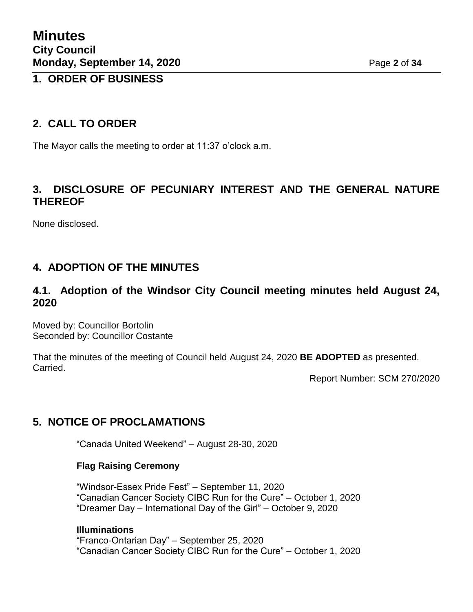## **1. ORDER OF BUSINESS**

# **2. CALL TO ORDER**

The Mayor calls the meeting to order at 11:37 o'clock a.m.

# **3. DISCLOSURE OF PECUNIARY INTEREST AND THE GENERAL NATURE THEREOF**

None disclosed.

# **4. ADOPTION OF THE MINUTES**

# **4.1. Adoption of the Windsor City Council meeting minutes held August 24, 2020**

Moved by: Councillor Bortolin Seconded by: Councillor Costante

That the minutes of the meeting of Council held August 24, 2020 **BE ADOPTED** as presented. Carried.

Report Number: SCM 270/2020

# **5. NOTICE OF PROCLAMATIONS**

"Canada United Weekend" – August 28-30, 2020

#### **Flag Raising Ceremony**

"Windsor-Essex Pride Fest" – September 11, 2020 "Canadian Cancer Society CIBC Run for the Cure" – October 1, 2020 "Dreamer Day – International Day of the Girl" – October 9, 2020

#### **Illuminations**

"Franco-Ontarian Day" – September 25, 2020 "Canadian Cancer Society CIBC Run for the Cure" – October 1, 2020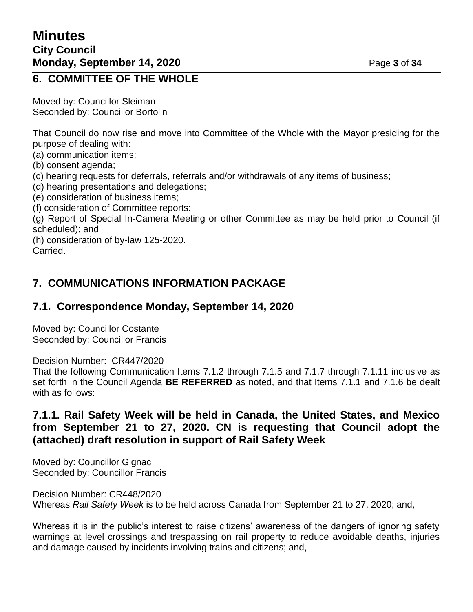## **6. COMMITTEE OF THE WHOLE**

Moved by: Councillor Sleiman Seconded by: Councillor Bortolin

That Council do now rise and move into Committee of the Whole with the Mayor presiding for the purpose of dealing with:

(a) communication items;

- (b) consent agenda;
- (c) hearing requests for deferrals, referrals and/or withdrawals of any items of business;
- (d) hearing presentations and delegations;
- (e) consideration of business items;
- (f) consideration of Committee reports:

(g) Report of Special In-Camera Meeting or other Committee as may be held prior to Council (if scheduled); and

(h) consideration of by-law 125-2020.

Carried.

# **7. COMMUNICATIONS INFORMATION PACKAGE**

## **7.1. Correspondence Monday, September 14, 2020**

Moved by: Councillor Costante Seconded by: Councillor Francis

Decision Number: CR447/2020

That the following Communication Items 7.1.2 through 7.1.5 and 7.1.7 through 7.1.11 inclusive as set forth in the Council Agenda **BE REFERRED** as noted, and that Items 7.1.1 and 7.1.6 be dealt with as follows:

# **7.1.1. Rail Safety Week will be held in Canada, the United States, and Mexico from September 21 to 27, 2020. CN is requesting that Council adopt the (attached) draft resolution in support of Rail Safety Week**

Moved by: Councillor Gignac Seconded by: Councillor Francis

Decision Number: CR448/2020 Whereas *Rail Safety Week* is to be held across Canada from September 21 to 27, 2020; and,

Whereas it is in the public's interest to raise citizens' awareness of the dangers of ignoring safety warnings at level crossings and trespassing on rail property to reduce avoidable deaths, injuries and damage caused by incidents involving trains and citizens; and,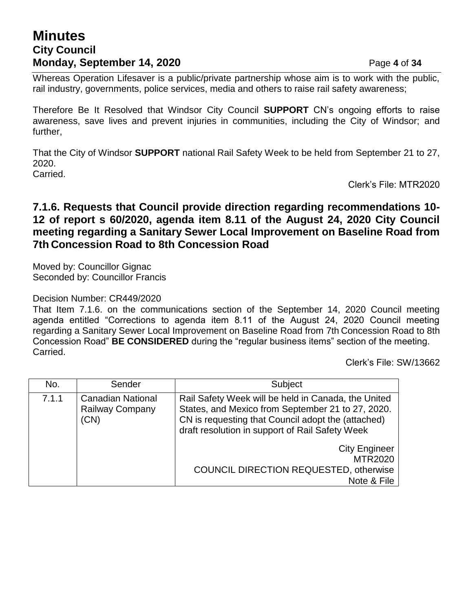# **Minutes City Council Monday, September 14, 2020 Page 4 of 34**

Whereas Operation Lifesaver is a public/private partnership whose aim is to work with the public, rail industry, governments, police services, media and others to raise rail safety awareness;

Therefore Be It Resolved that Windsor City Council **SUPPORT** CN's ongoing efforts to raise awareness, save lives and prevent injuries in communities, including the City of Windsor; and further,

That the City of Windsor **SUPPORT** national Rail Safety Week to be held from September 21 to 27, 2020. Carried.

Clerk's File: MTR2020

# **7.1.6. Requests that Council provide direction regarding recommendations 10- 12 of report s 60/2020, agenda item 8.11 of the August 24, 2020 City Council meeting regarding a Sanitary Sewer Local Improvement on Baseline Road from 7th Concession Road to 8th Concession Road**

Moved by: Councillor Gignac Seconded by: Councillor Francis

#### Decision Number: CR449/2020

That Item 7.1.6. on the communications section of the September 14, 2020 Council meeting agenda entitled "Corrections to agenda item 8.11 of the August 24, 2020 Council meeting regarding a Sanitary Sewer Local Improvement on Baseline Road from 7th Concession Road to 8th Concession Road" **BE CONSIDERED** during the "regular business items" section of the meeting. Carried.

Clerk's File: SW/13662

| No.   | Sender                                                     | Subject                                                                                                                                                                                                           |
|-------|------------------------------------------------------------|-------------------------------------------------------------------------------------------------------------------------------------------------------------------------------------------------------------------|
| 7.1.1 | <b>Canadian National</b><br><b>Railway Company</b><br>(CN) | Rail Safety Week will be held in Canada, the United<br>States, and Mexico from September 21 to 27, 2020.<br>CN is requesting that Council adopt the (attached)<br>draft resolution in support of Rail Safety Week |
|       |                                                            | <b>City Engineer</b><br><b>MTR2020</b><br><b>COUNCIL DIRECTION REQUESTED, otherwise</b><br>Note & File                                                                                                            |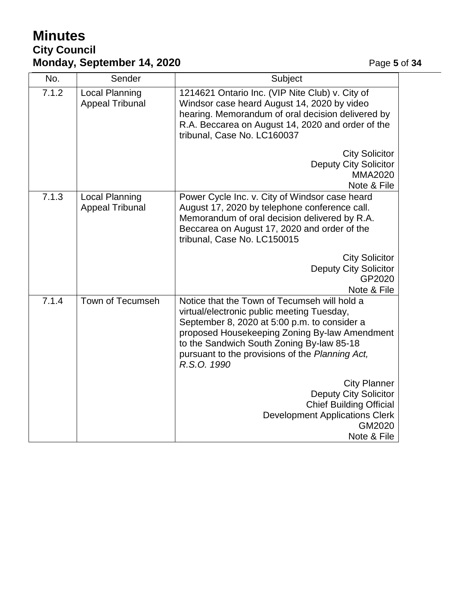# **Minutes City Council Monday, September 14, 2020 Page 5** of 34

| No.   | Sender                                          | Subject                                                                                                                                                                                                                                                                                                    |
|-------|-------------------------------------------------|------------------------------------------------------------------------------------------------------------------------------------------------------------------------------------------------------------------------------------------------------------------------------------------------------------|
| 7.1.2 | <b>Local Planning</b><br><b>Appeal Tribunal</b> | 1214621 Ontario Inc. (VIP Nite Club) v. City of<br>Windsor case heard August 14, 2020 by video<br>hearing. Memorandum of oral decision delivered by<br>R.A. Beccarea on August 14, 2020 and order of the<br>tribunal, Case No. LC160037                                                                    |
|       |                                                 | <b>City Solicitor</b><br><b>Deputy City Solicitor</b><br><b>MMA2020</b><br>Note & File                                                                                                                                                                                                                     |
| 7.1.3 | Local Planning<br><b>Appeal Tribunal</b>        | Power Cycle Inc. v. City of Windsor case heard<br>August 17, 2020 by telephone conference call.<br>Memorandum of oral decision delivered by R.A.<br>Beccarea on August 17, 2020 and order of the<br>tribunal, Case No. LC150015                                                                            |
|       |                                                 | <b>City Solicitor</b><br><b>Deputy City Solicitor</b><br>GP2020<br>Note & File                                                                                                                                                                                                                             |
| 7.1.4 | Town of Tecumseh                                | Notice that the Town of Tecumseh will hold a<br>virtual/electronic public meeting Tuesday,<br>September 8, 2020 at 5:00 p.m. to consider a<br>proposed Housekeeping Zoning By-law Amendment<br>to the Sandwich South Zoning By-law 85-18<br>pursuant to the provisions of the Planning Act,<br>R.S.O. 1990 |
|       |                                                 | <b>City Planner</b><br><b>Deputy City Solicitor</b><br><b>Chief Building Official</b><br><b>Development Applications Clerk</b><br>GM2020<br>Note & File                                                                                                                                                    |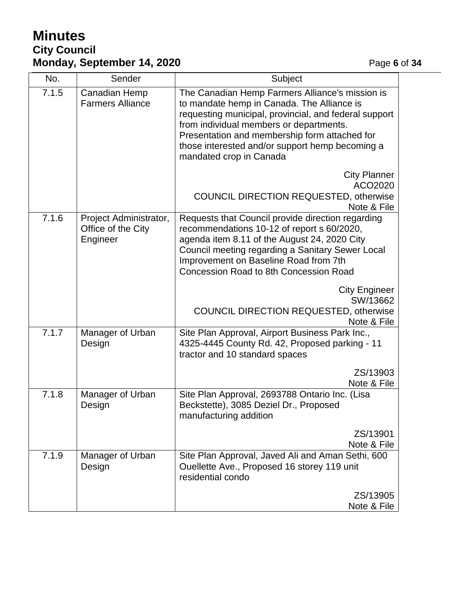# **Minutes City Council Monday, September 14, 2020 Page 6** of 34

| No.   | Sender                                                   | Subject                                                                                                                                                                                                                                                                                                                          |  |
|-------|----------------------------------------------------------|----------------------------------------------------------------------------------------------------------------------------------------------------------------------------------------------------------------------------------------------------------------------------------------------------------------------------------|--|
| 7.1.5 | Canadian Hemp<br><b>Farmers Alliance</b>                 | The Canadian Hemp Farmers Alliance's mission is<br>to mandate hemp in Canada. The Alliance is<br>requesting municipal, provincial, and federal support<br>from individual members or departments.<br>Presentation and membership form attached for<br>those interested and/or support hemp becoming a<br>mandated crop in Canada |  |
|       |                                                          | <b>City Planner</b><br>ACO2020<br>COUNCIL DIRECTION REQUESTED, otherwise<br>Note & File                                                                                                                                                                                                                                          |  |
| 7.1.6 | Project Administrator,<br>Office of the City<br>Engineer | Requests that Council provide direction regarding<br>recommendations 10-12 of report s 60/2020,<br>agenda item 8.11 of the August 24, 2020 City<br>Council meeting regarding a Sanitary Sewer Local<br>Improvement on Baseline Road from 7th<br><b>Concession Road to 8th Concession Road</b>                                    |  |
|       |                                                          | <b>City Engineer</b><br>SW/13662<br><b>COUNCIL DIRECTION REQUESTED, otherwise</b><br>Note & File                                                                                                                                                                                                                                 |  |
| 7.1.7 | Manager of Urban<br>Design                               | Site Plan Approval, Airport Business Park Inc.,<br>4325-4445 County Rd. 42, Proposed parking - 11<br>tractor and 10 standard spaces                                                                                                                                                                                              |  |
|       |                                                          | ZS/13903<br>Note & File                                                                                                                                                                                                                                                                                                          |  |
| 7.1.8 | Manager of Urban<br>Design                               | Site Plan Approval, 2693788 Ontario Inc. (Lisa<br>Beckstette), 3085 Deziel Dr., Proposed<br>manufacturing addition                                                                                                                                                                                                               |  |
|       |                                                          | ZS/13901<br>Note & File                                                                                                                                                                                                                                                                                                          |  |
| 7.1.9 | Manager of Urban<br>Design                               | Site Plan Approval, Javed Ali and Aman Sethi, 600<br>Ouellette Ave., Proposed 16 storey 119 unit<br>residential condo                                                                                                                                                                                                            |  |
|       |                                                          | ZS/13905<br>Note & File                                                                                                                                                                                                                                                                                                          |  |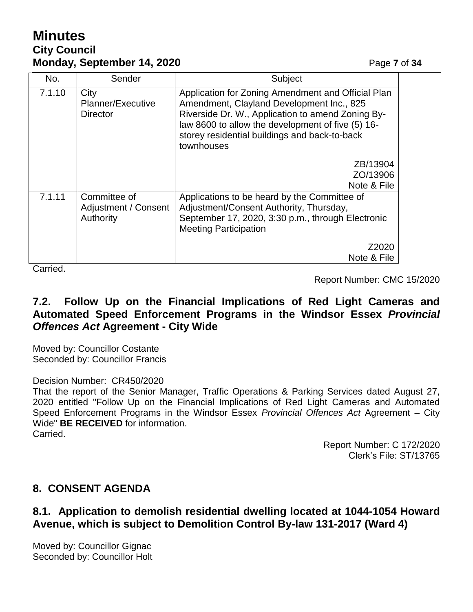# **Minutes City Council Monday, September 14, 2020** Page 7 of 34

| No.    | Sender                                            | Subject                                                                                                                                                                                                                                                                  |
|--------|---------------------------------------------------|--------------------------------------------------------------------------------------------------------------------------------------------------------------------------------------------------------------------------------------------------------------------------|
| 7.1.10 | City<br>Planner/Executive<br><b>Director</b>      | Application for Zoning Amendment and Official Plan<br>Amendment, Clayland Development Inc., 825<br>Riverside Dr. W., Application to amend Zoning By-<br>law 8600 to allow the development of five (5) 16-<br>storey residential buildings and back-to-back<br>townhouses |
|        |                                                   | ZB/13904<br>ZO/13906<br>Note & File                                                                                                                                                                                                                                      |
| 7.1.11 | Committee of<br>Adjustment / Consent<br>Authority | Applications to be heard by the Committee of<br>Adjustment/Consent Authority, Thursday,<br>September 17, 2020, 3:30 p.m., through Electronic<br><b>Meeting Participation</b>                                                                                             |
|        |                                                   | Z2020                                                                                                                                                                                                                                                                    |
|        |                                                   | Note & File                                                                                                                                                                                                                                                              |

Carried.

Report Number: CMC 15/2020

# **7.2. Follow Up on the Financial Implications of Red Light Cameras and Automated Speed Enforcement Programs in the Windsor Essex** *Provincial Offences Act* **Agreement - City Wide**

Moved by: Councillor Costante Seconded by: Councillor Francis

Decision Number: CR450/2020

That the report of the Senior Manager, Traffic Operations & Parking Services dated August 27, 2020 entitled "Follow Up on the Financial Implications of Red Light Cameras and Automated Speed Enforcement Programs in the Windsor Essex *Provincial Offences Act* Agreement – City Wide" **BE RECEIVED** for information. Carried.

> Report Number: C 172/2020 Clerk's File: ST/13765

# **8. CONSENT AGENDA**

# **8.1. Application to demolish residential dwelling located at 1044-1054 Howard Avenue, which is subject to Demolition Control By-law 131-2017 (Ward 4)**

Moved by: Councillor Gignac Seconded by: Councillor Holt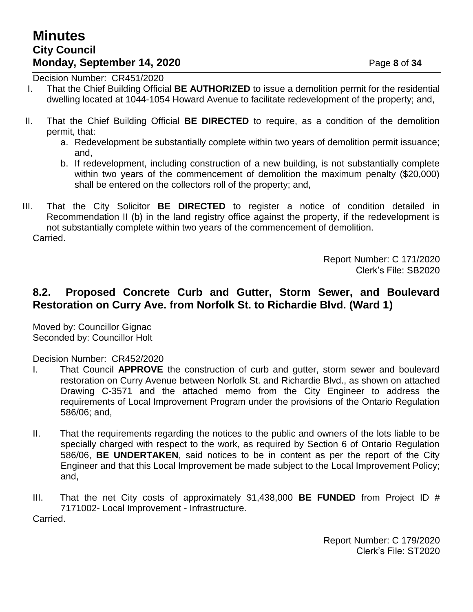Decision Number: CR451/2020

- I. That the Chief Building Official **BE AUTHORIZED** to issue a demolition permit for the residential dwelling located at 1044-1054 Howard Avenue to facilitate redevelopment of the property; and,
- II. That the Chief Building Official **BE DIRECTED** to require, as a condition of the demolition permit, that:
	- a. Redevelopment be substantially complete within two years of demolition permit issuance; and,
	- b. If redevelopment, including construction of a new building, is not substantially complete within two years of the commencement of demolition the maximum penalty (\$20,000) shall be entered on the collectors roll of the property; and,
- III. That the City Solicitor **BE DIRECTED** to register a notice of condition detailed in Recommendation II (b) in the land registry office against the property, if the redevelopment is not substantially complete within two years of the commencement of demolition. Carried.

Report Number: C 171/2020 Clerk's File: SB2020

# **8.2. Proposed Concrete Curb and Gutter, Storm Sewer, and Boulevard Restoration on Curry Ave. from Norfolk St. to Richardie Blvd. (Ward 1)**

Moved by: Councillor Gignac Seconded by: Councillor Holt

Decision Number: CR452/2020

- I. That Council **APPROVE** the construction of curb and gutter, storm sewer and boulevard restoration on Curry Avenue between Norfolk St. and Richardie Blvd., as shown on attached Drawing C-3571 and the attached memo from the City Engineer to address the requirements of Local Improvement Program under the provisions of the Ontario Regulation 586/06; and,
- II. That the requirements regarding the notices to the public and owners of the lots liable to be specially charged with respect to the work, as required by Section 6 of Ontario Regulation 586/06, **BE UNDERTAKEN**, said notices to be in content as per the report of the City Engineer and that this Local Improvement be made subject to the Local Improvement Policy; and,
- III. That the net City costs of approximately \$1,438,000 **BE FUNDED** from Project ID # 7171002- Local Improvement - Infrastructure. Carried.

Report Number: C 179/2020 Clerk's File: ST2020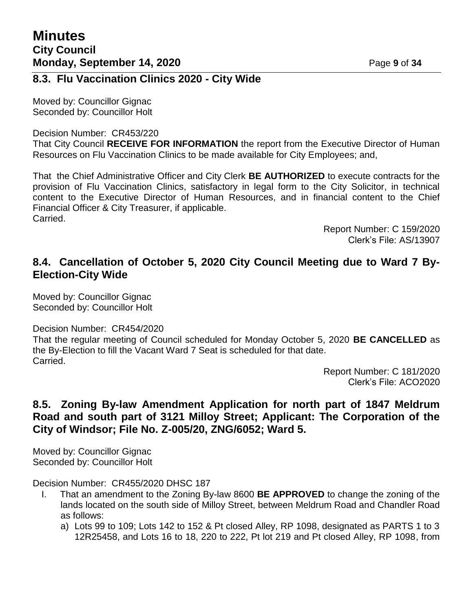## **8.3. Flu Vaccination Clinics 2020 - City Wide**

Moved by: Councillor Gignac Seconded by: Councillor Holt

#### Decision Number: CR453/220

That City Council **RECEIVE FOR INFORMATION** the report from the Executive Director of Human Resources on Flu Vaccination Clinics to be made available for City Employees; and,

That the Chief Administrative Officer and City Clerk **BE AUTHORIZED** to execute contracts for the provision of Flu Vaccination Clinics, satisfactory in legal form to the City Solicitor, in technical content to the Executive Director of Human Resources, and in financial content to the Chief Financial Officer & City Treasurer, if applicable. Carried.

> Report Number: C 159/2020 Clerk's File: AS/13907

# **8.4. Cancellation of October 5, 2020 City Council Meeting due to Ward 7 By-Election-City Wide**

Moved by: Councillor Gignac Seconded by: Councillor Holt

#### Decision Number: CR454/2020

That the regular meeting of Council scheduled for Monday October 5, 2020 **BE CANCELLED** as the By-Election to fill the Vacant Ward 7 Seat is scheduled for that date. Carried.

> Report Number: C 181/2020 Clerk's File: ACO2020

# **8.5. Zoning By-law Amendment Application for north part of 1847 Meldrum Road and south part of 3121 Milloy Street; Applicant: The Corporation of the City of Windsor; File No. Z-005/20, ZNG/6052; Ward 5.**

Moved by: Councillor Gignac Seconded by: Councillor Holt

Decision Number: CR455/2020 DHSC 187

- I. That an amendment to the Zoning By-law 8600 **BE APPROVED** to change the zoning of the lands located on the south side of Milloy Street, between Meldrum Road and Chandler Road as follows:
	- a) Lots 99 to 109; Lots 142 to 152 & Pt closed Alley, RP 1098, designated as PARTS 1 to 3 12R25458, and Lots 16 to 18, 220 to 222, Pt lot 219 and Pt closed Alley, RP 1098, from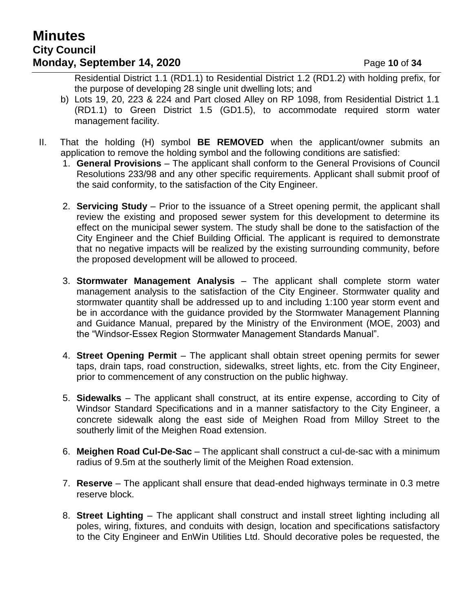# **Minutes City Council Monday, September 14, 2020** Page 10 of 34

Residential District 1.1 (RD1.1) to Residential District 1.2 (RD1.2) with holding prefix, for the purpose of developing 28 single unit dwelling lots; and

- b) Lots 19, 20, 223 & 224 and Part closed Alley on RP 1098, from Residential District 1.1 (RD1.1) to Green District 1.5 (GD1.5), to accommodate required storm water management facility.
- II. That the holding (H) symbol **BE REMOVED** when the applicant/owner submits an application to remove the holding symbol and the following conditions are satisfied:
	- 1. **General Provisions**  The applicant shall conform to the General Provisions of Council Resolutions 233/98 and any other specific requirements. Applicant shall submit proof of the said conformity, to the satisfaction of the City Engineer.
	- 2. **Servicing Study**  Prior to the issuance of a Street opening permit, the applicant shall review the existing and proposed sewer system for this development to determine its effect on the municipal sewer system. The study shall be done to the satisfaction of the City Engineer and the Chief Building Official. The applicant is required to demonstrate that no negative impacts will be realized by the existing surrounding community, before the proposed development will be allowed to proceed.
	- 3. **Stormwater Management Analysis** The applicant shall complete storm water management analysis to the satisfaction of the City Engineer. Stormwater quality and stormwater quantity shall be addressed up to and including 1:100 year storm event and be in accordance with the guidance provided by the Stormwater Management Planning and Guidance Manual, prepared by the Ministry of the Environment (MOE, 2003) and the "Windsor-Essex Region Stormwater Management Standards Manual".
	- 4. **Street Opening Permit**  The applicant shall obtain street opening permits for sewer taps, drain taps, road construction, sidewalks, street lights, etc. from the City Engineer, prior to commencement of any construction on the public highway.
	- 5. **Sidewalks**  The applicant shall construct, at its entire expense, according to City of Windsor Standard Specifications and in a manner satisfactory to the City Engineer, a concrete sidewalk along the east side of Meighen Road from Milloy Street to the southerly limit of the Meighen Road extension.
	- 6. **Meighen Road Cul-De-Sac**  The applicant shall construct a cul-de-sac with a minimum radius of 9.5m at the southerly limit of the Meighen Road extension.
	- 7. **Reserve**  The applicant shall ensure that dead-ended highways terminate in 0.3 metre reserve block.
	- 8. **Street Lighting**  The applicant shall construct and install street lighting including all poles, wiring, fixtures, and conduits with design, location and specifications satisfactory to the City Engineer and EnWin Utilities Ltd. Should decorative poles be requested, the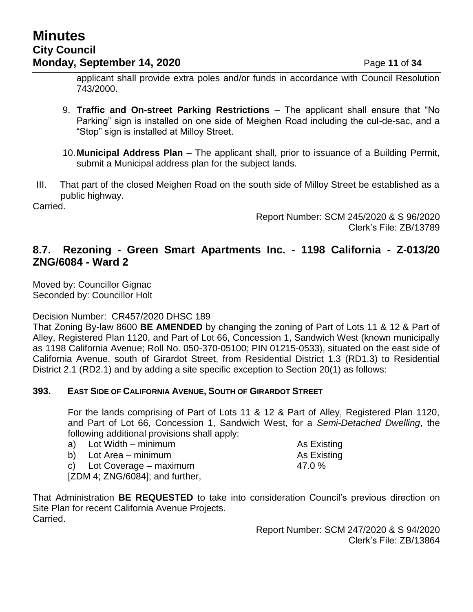# **Minutes City Council Monday, September 14, 2020** Page 11 of 34

applicant shall provide extra poles and/or funds in accordance with Council Resolution 743/2000.

- 9. **Traffic and On-street Parking Restrictions** The applicant shall ensure that "No Parking" sign is installed on one side of Meighen Road including the cul-de-sac, and a "Stop" sign is installed at Milloy Street.
- 10.**Municipal Address Plan**  The applicant shall, prior to issuance of a Building Permit, submit a Municipal address plan for the subject lands.
- III. That part of the closed Meighen Road on the south side of Milloy Street be established as a public highway.

Carried.

Report Number: SCM 245/2020 & S 96/2020 Clerk's File: ZB/13789

## **8.7. Rezoning - Green Smart Apartments Inc. - 1198 California - Z-013/20 ZNG/6084 - Ward 2**

Moved by: Councillor Gignac Seconded by: Councillor Holt

Decision Number: CR457/2020 DHSC 189

That Zoning By-law 8600 **BE AMENDED** by changing the zoning of Part of Lots 11 & 12 & Part of Alley, Registered Plan 1120, and Part of Lot 66, Concession 1, Sandwich West (known municipally as 1198 California Avenue; Roll No. 050-370-05100; PIN 01215-0533), situated on the east side of California Avenue, south of Girardot Street, from Residential District 1.3 (RD1.3) to Residential District 2.1 (RD2.1) and by adding a site specific exception to Section 20(1) as follows:

#### **393. EAST SIDE OF CALIFORNIA AVENUE, SOUTH OF GIRARDOT STREET**

For the lands comprising of Part of Lots 11 & 12 & Part of Alley, Registered Plan 1120, and Part of Lot 66, Concession 1, Sandwich West, for a *Semi-Detached Dwelling*, the following additional provisions shall apply:

| a) Lot Width – minimum             | As Existing |
|------------------------------------|-------------|
| b) Lot Area – minimum              | As Existing |
| c) Lot Coverage $-$ maximum        | 47.0 $\%$   |
| $[ZDM 4; ZNG/6084]$ ; and further, |             |

That Administration **BE REQUESTED** to take into consideration Council's previous direction on Site Plan for recent California Avenue Projects. Carried.

> Report Number: SCM 247/2020 & S 94/2020 Clerk's File: ZB/13864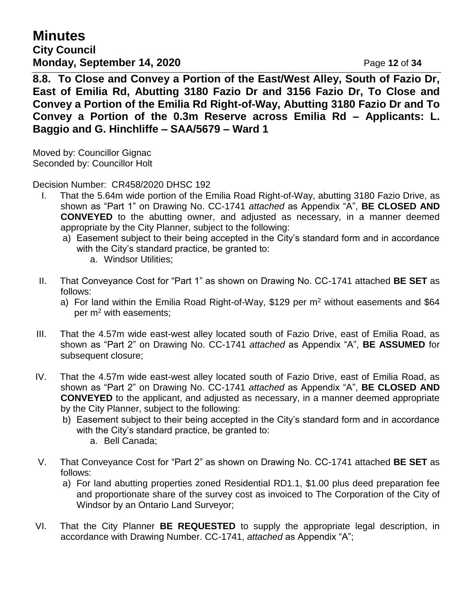**Minutes City Council Monday, September 14, 2020** Page 12 of 34

**8.8. To Close and Convey a Portion of the East/West Alley, South of Fazio Dr, East of Emilia Rd, Abutting 3180 Fazio Dr and 3156 Fazio Dr, To Close and Convey a Portion of the Emilia Rd Right-of-Way, Abutting 3180 Fazio Dr and To Convey a Portion of the 0.3m Reserve across Emilia Rd – Applicants: L. Baggio and G. Hinchliffe – SAA/5679 – Ward 1**

Moved by: Councillor Gignac Seconded by: Councillor Holt

Decision Number: CR458/2020 DHSC 192

- I. That the 5.64m wide portion of the Emilia Road Right-of-Way, abutting 3180 Fazio Drive, as shown as "Part 1" on Drawing No. CC-1741 *attached* as Appendix "A", **BE CLOSED AND CONVEYED** to the abutting owner, and adjusted as necessary, in a manner deemed appropriate by the City Planner, subject to the following:
	- a) Easement subject to their being accepted in the City's standard form and in accordance with the City's standard practice, be granted to:
		- a. Windsor Utilities;
- II. That Conveyance Cost for "Part 1" as shown on Drawing No. CC-1741 attached **BE SET** as follows:
	- a) For land within the Emilia Road Right-of-Way,  $$129$  per m<sup>2</sup> without easements and  $$64$ per  $m<sup>2</sup>$  with easements;
- III. That the 4.57m wide east-west alley located south of Fazio Drive, east of Emilia Road, as shown as "Part 2" on Drawing No. CC-1741 *attached* as Appendix "A", **BE ASSUMED** for subsequent closure;
- IV. That the 4.57m wide east-west alley located south of Fazio Drive, east of Emilia Road, as shown as "Part 2" on Drawing No. CC-1741 *attached* as Appendix "A", **BE CLOSED AND CONVEYED** to the applicant, and adjusted as necessary, in a manner deemed appropriate by the City Planner, subject to the following:
	- b) Easement subject to their being accepted in the City's standard form and in accordance with the City's standard practice, be granted to:
		- a. Bell Canada;
- V. That Conveyance Cost for "Part 2" as shown on Drawing No. CC-1741 attached **BE SET** as follows:
	- a) For land abutting properties zoned Residential RD1.1, \$1.00 plus deed preparation fee and proportionate share of the survey cost as invoiced to The Corporation of the City of Windsor by an Ontario Land Surveyor;
- VI. That the City Planner **BE REQUESTED** to supply the appropriate legal description, in accordance with Drawing Number. CC-1741, *attached* as Appendix "A";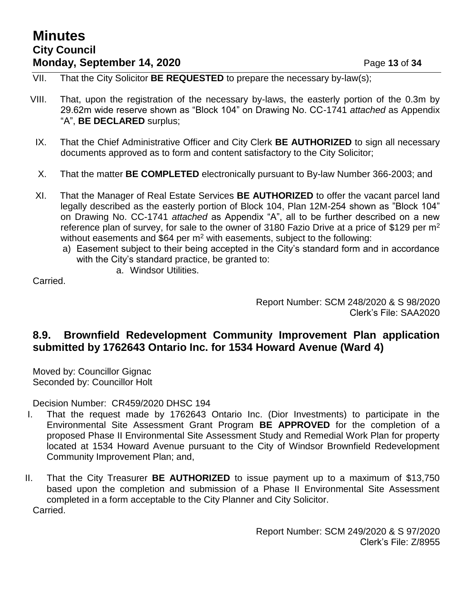# **Minutes City Council Monday, September 14, 2020** Page 13 of 34

- VII. That the City Solicitor **BE REQUESTED** to prepare the necessary by-law(s);
- VIII. That, upon the registration of the necessary by-laws, the easterly portion of the 0.3m by 29.62m wide reserve shown as "Block 104" on Drawing No. CC-1741 *attached* as Appendix "A", **BE DECLARED** surplus;
- IX. That the Chief Administrative Officer and City Clerk **BE AUTHORIZED** to sign all necessary documents approved as to form and content satisfactory to the City Solicitor;
- X. That the matter **BE COMPLETED** electronically pursuant to By-law Number 366-2003; and
- XI. That the Manager of Real Estate Services **BE AUTHORIZED** to offer the vacant parcel land legally described as the easterly portion of Block 104, Plan 12M-254 shown as "Block 104" on Drawing No. CC-1741 *attached* as Appendix "A", all to be further described on a new reference plan of survey, for sale to the owner of 3180 Fazio Drive at a price of \$129 per  $m<sup>2</sup>$ without easements and \$64 per  $m<sup>2</sup>$  with easements, subject to the following:
	- a) Easement subject to their being accepted in the City's standard form and in accordance with the City's standard practice, be granted to:
		- a. Windsor Utilities.

Carried.

Report Number: SCM 248/2020 & S 98/2020 Clerk's File: SAA2020

## **8.9. Brownfield Redevelopment Community Improvement Plan application submitted by 1762643 Ontario Inc. for 1534 Howard Avenue (Ward 4)**

Moved by: Councillor Gignac Seconded by: Councillor Holt

Decision Number: CR459/2020 DHSC 194

- I. That the request made by 1762643 Ontario Inc. (Dior Investments) to participate in the Environmental Site Assessment Grant Program **BE APPROVED** for the completion of a proposed Phase II Environmental Site Assessment Study and Remedial Work Plan for property located at 1534 Howard Avenue pursuant to the City of Windsor Brownfield Redevelopment Community Improvement Plan; and,
- II. That the City Treasurer **BE AUTHORIZED** to issue payment up to a maximum of \$13,750 based upon the completion and submission of a Phase II Environmental Site Assessment completed in a form acceptable to the City Planner and City Solicitor. Carried.

Report Number: SCM 249/2020 & S 97/2020 Clerk's File: Z/8955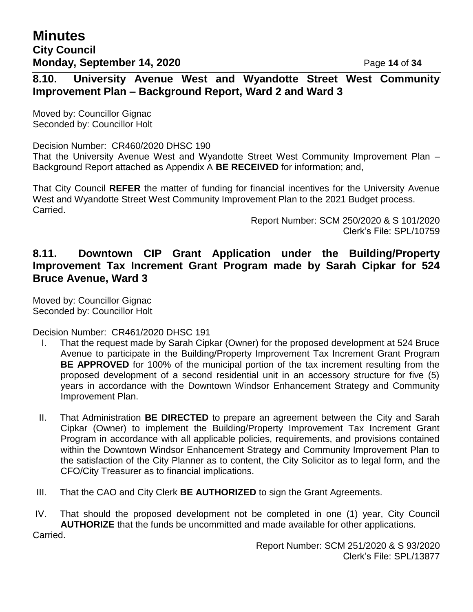# **8.10. University Avenue West and Wyandotte Street West Community Improvement Plan – Background Report, Ward 2 and Ward 3**

Moved by: Councillor Gignac Seconded by: Councillor Holt

Decision Number: CR460/2020 DHSC 190 That the University Avenue West and Wyandotte Street West Community Improvement Plan – Background Report attached as Appendix A **BE RECEIVED** for information; and,

That City Council **REFER** the matter of funding for financial incentives for the University Avenue West and Wyandotte Street West Community Improvement Plan to the 2021 Budget process. Carried.

> Report Number: SCM 250/2020 & S 101/2020 Clerk's File: SPL/10759

# **8.11. Downtown CIP Grant Application under the Building/Property Improvement Tax Increment Grant Program made by Sarah Cipkar for 524 Bruce Avenue, Ward 3**

Moved by: Councillor Gignac Seconded by: Councillor Holt

Decision Number: CR461/2020 DHSC 191

- I. That the request made by Sarah Cipkar (Owner) for the proposed development at 524 Bruce Avenue to participate in the Building/Property Improvement Tax Increment Grant Program **BE APPROVED** for 100% of the municipal portion of the tax increment resulting from the proposed development of a second residential unit in an accessory structure for five (5) years in accordance with the Downtown Windsor Enhancement Strategy and Community Improvement Plan.
- II. That Administration **BE DIRECTED** to prepare an agreement between the City and Sarah Cipkar (Owner) to implement the Building/Property Improvement Tax Increment Grant Program in accordance with all applicable policies, requirements, and provisions contained within the Downtown Windsor Enhancement Strategy and Community Improvement Plan to the satisfaction of the City Planner as to content, the City Solicitor as to legal form, and the CFO/City Treasurer as to financial implications.
- III. That the CAO and City Clerk **BE AUTHORIZED** to sign the Grant Agreements.

IV. That should the proposed development not be completed in one (1) year, City Council **AUTHORIZE** that the funds be uncommitted and made available for other applications. Carried.

> Report Number: SCM 251/2020 & S 93/2020 Clerk's File: SPL/13877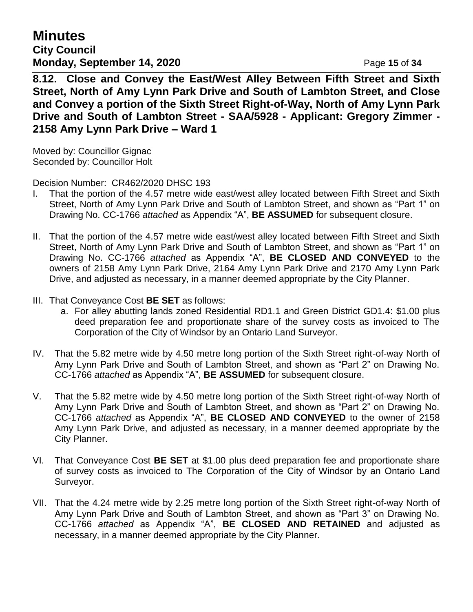**Minutes City Council Monday, September 14, 2020** Page 15 of 34

**8.12. Close and Convey the East/West Alley Between Fifth Street and Sixth Street, North of Amy Lynn Park Drive and South of Lambton Street, and Close and Convey a portion of the Sixth Street Right-of-Way, North of Amy Lynn Park Drive and South of Lambton Street - SAA/5928 - Applicant: Gregory Zimmer - 2158 Amy Lynn Park Drive – Ward 1**

Moved by: Councillor Gignac Seconded by: Councillor Holt

Decision Number: CR462/2020 DHSC 193

- I. That the portion of the 4.57 metre wide east/west alley located between Fifth Street and Sixth Street, North of Amy Lynn Park Drive and South of Lambton Street, and shown as "Part 1" on Drawing No. CC-1766 *attached* as Appendix "A", **BE ASSUMED** for subsequent closure.
- II. That the portion of the 4.57 metre wide east/west alley located between Fifth Street and Sixth Street, North of Amy Lynn Park Drive and South of Lambton Street, and shown as "Part 1" on Drawing No. CC-1766 *attached* as Appendix "A", **BE CLOSED AND CONVEYED** to the owners of 2158 Amy Lynn Park Drive, 2164 Amy Lynn Park Drive and 2170 Amy Lynn Park Drive, and adjusted as necessary, in a manner deemed appropriate by the City Planner.
- III. That Conveyance Cost **BE SET** as follows:
	- a. For alley abutting lands zoned Residential RD1.1 and Green District GD1.4: \$1.00 plus deed preparation fee and proportionate share of the survey costs as invoiced to The Corporation of the City of Windsor by an Ontario Land Surveyor.
- IV. That the 5.82 metre wide by 4.50 metre long portion of the Sixth Street right-of-way North of Amy Lynn Park Drive and South of Lambton Street, and shown as "Part 2" on Drawing No. CC-1766 *attached* as Appendix "A", **BE ASSUMED** for subsequent closure.
- V. That the 5.82 metre wide by 4.50 metre long portion of the Sixth Street right-of-way North of Amy Lynn Park Drive and South of Lambton Street, and shown as "Part 2" on Drawing No. CC-1766 *attached* as Appendix "A", **BE CLOSED AND CONVEYED** to the owner of 2158 Amy Lynn Park Drive, and adjusted as necessary, in a manner deemed appropriate by the City Planner.
- VI. That Conveyance Cost **BE SET** at \$1.00 plus deed preparation fee and proportionate share of survey costs as invoiced to The Corporation of the City of Windsor by an Ontario Land Surveyor.
- VII. That the 4.24 metre wide by 2.25 metre long portion of the Sixth Street right-of-way North of Amy Lynn Park Drive and South of Lambton Street, and shown as "Part 3" on Drawing No. CC-1766 *attached* as Appendix "A", **BE CLOSED AND RETAINED** and adjusted as necessary, in a manner deemed appropriate by the City Planner.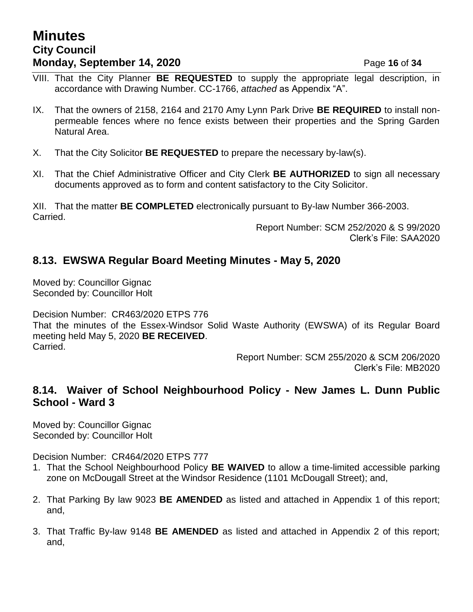# **Minutes City Council Monday, September 14, 2020 Page 16 of 34**

- VIII. That the City Planner **BE REQUESTED** to supply the appropriate legal description, in accordance with Drawing Number. CC-1766, *attached* as Appendix "A".
- IX. That the owners of 2158, 2164 and 2170 Amy Lynn Park Drive **BE REQUIRED** to install nonpermeable fences where no fence exists between their properties and the Spring Garden Natural Area.
- X. That the City Solicitor **BE REQUESTED** to prepare the necessary by-law(s).
- XI. That the Chief Administrative Officer and City Clerk **BE AUTHORIZED** to sign all necessary documents approved as to form and content satisfactory to the City Solicitor.

XII. That the matter **BE COMPLETED** electronically pursuant to By-law Number 366-2003. Carried.

Report Number: SCM 252/2020 & S 99/2020 Clerk's File: SAA2020

# **8.13. EWSWA Regular Board Meeting Minutes - May 5, 2020**

Moved by: Councillor Gignac Seconded by: Councillor Holt

Decision Number: CR463/2020 ETPS 776 That the minutes of the Essex-Windsor Solid Waste Authority (EWSWA) of its Regular Board meeting held May 5, 2020 **BE RECEIVED**. Carried.

> Report Number: SCM 255/2020 & SCM 206/2020 Clerk's File: MB2020

## **8.14. Waiver of School Neighbourhood Policy - New James L. Dunn Public School - Ward 3**

Moved by: Councillor Gignac Seconded by: Councillor Holt

Decision Number: CR464/2020 ETPS 777

- 1. That the School Neighbourhood Policy **BE WAIVED** to allow a time-limited accessible parking zone on McDougall Street at the Windsor Residence (1101 McDougall Street); and,
- 2. That Parking By law 9023 **BE AMENDED** as listed and attached in Appendix 1 of this report; and,
- 3. That Traffic By-law 9148 **BE AMENDED** as listed and attached in Appendix 2 of this report; and,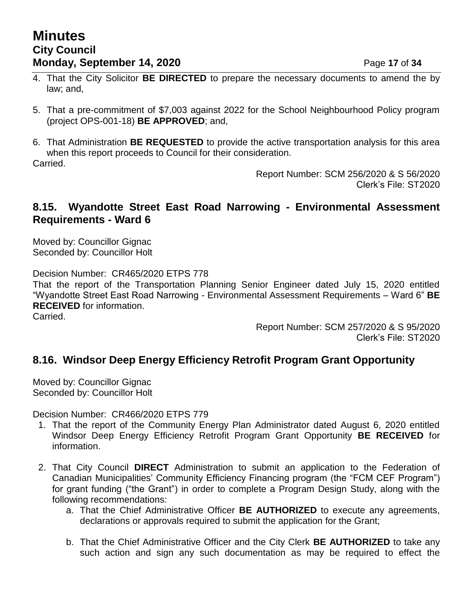# **Minutes City Council Monday, September 14, 2020 Page 17 of 34**

- 4. That the City Solicitor **BE DIRECTED** to prepare the necessary documents to amend the by law; and,
- 5. That a pre-commitment of \$7,003 against 2022 for the School Neighbourhood Policy program (project OPS-001-18) **BE APPROVED**; and,
- 6. That Administration **BE REQUESTED** to provide the active transportation analysis for this area when this report proceeds to Council for their consideration.

Carried.

Report Number: SCM 256/2020 & S 56/2020 Clerk's File: ST2020

## **8.15. Wyandotte Street East Road Narrowing - Environmental Assessment Requirements - Ward 6**

Moved by: Councillor Gignac Seconded by: Councillor Holt

Decision Number: CR465/2020 ETPS 778

That the report of the Transportation Planning Senior Engineer dated July 15, 2020 entitled "Wyandotte Street East Road Narrowing - Environmental Assessment Requirements – Ward 6" **BE RECEIVED** for information.

Carried.

Report Number: SCM 257/2020 & S 95/2020 Clerk's File: ST2020

# **8.16. Windsor Deep Energy Efficiency Retrofit Program Grant Opportunity**

Moved by: Councillor Gignac Seconded by: Councillor Holt

Decision Number: CR466/2020 ETPS 779

- 1. That the report of the Community Energy Plan Administrator dated August 6, 2020 entitled Windsor Deep Energy Efficiency Retrofit Program Grant Opportunity **BE RECEIVED** for information.
- 2. That City Council **DIRECT** Administration to submit an application to the Federation of Canadian Municipalities' Community Efficiency Financing program (the "FCM CEF Program") for grant funding ("the Grant") in order to complete a Program Design Study, along with the following recommendations:
	- a. That the Chief Administrative Officer **BE AUTHORIZED** to execute any agreements, declarations or approvals required to submit the application for the Grant;
	- b. That the Chief Administrative Officer and the City Clerk **BE AUTHORIZED** to take any such action and sign any such documentation as may be required to effect the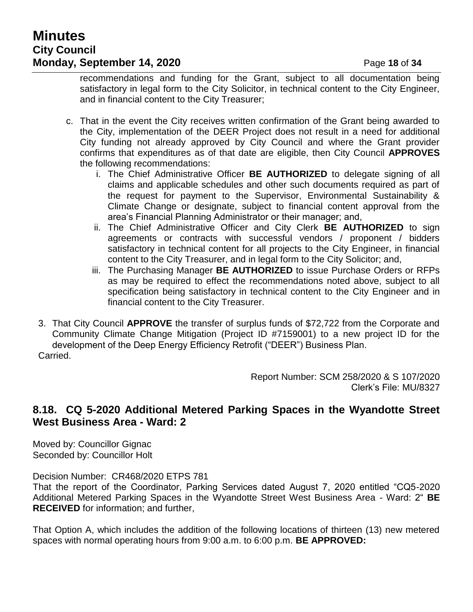# **Minutes City Council Monday, September 14, 2020** Page 18 of 34

recommendations and funding for the Grant, subject to all documentation being satisfactory in legal form to the City Solicitor, in technical content to the City Engineer, and in financial content to the City Treasurer;

- c. That in the event the City receives written confirmation of the Grant being awarded to the City, implementation of the DEER Project does not result in a need for additional City funding not already approved by City Council and where the Grant provider confirms that expenditures as of that date are eligible, then City Council **APPROVES** the following recommendations:
	- i. The Chief Administrative Officer **BE AUTHORIZED** to delegate signing of all claims and applicable schedules and other such documents required as part of the request for payment to the Supervisor, Environmental Sustainability & Climate Change or designate, subject to financial content approval from the area's Financial Planning Administrator or their manager; and,
	- ii. The Chief Administrative Officer and City Clerk **BE AUTHORIZED** to sign agreements or contracts with successful vendors / proponent / bidders satisfactory in technical content for all projects to the City Engineer, in financial content to the City Treasurer, and in legal form to the City Solicitor; and,
	- iii. The Purchasing Manager **BE AUTHORIZED** to issue Purchase Orders or RFPs as may be required to effect the recommendations noted above, subject to all specification being satisfactory in technical content to the City Engineer and in financial content to the City Treasurer.
- 3. That City Council **APPROVE** the transfer of surplus funds of \$72,722 from the Corporate and Community Climate Change Mitigation (Project ID #7159001) to a new project ID for the development of the Deep Energy Efficiency Retrofit ("DEER") Business Plan. Carried.

Report Number: SCM 258/2020 & S 107/2020 Clerk's File: MU/8327

# **8.18. CQ 5-2020 Additional Metered Parking Spaces in the Wyandotte Street West Business Area - Ward: 2**

Moved by: Councillor Gignac Seconded by: Councillor Holt

Decision Number: CR468/2020 ETPS 781

That the report of the Coordinator, Parking Services dated August 7, 2020 entitled "CQ5-2020 Additional Metered Parking Spaces in the Wyandotte Street West Business Area - Ward: 2" **BE RECEIVED** for information; and further,

That Option A, which includes the addition of the following locations of thirteen (13) new metered spaces with normal operating hours from 9:00 a.m. to 6:00 p.m. **BE APPROVED:**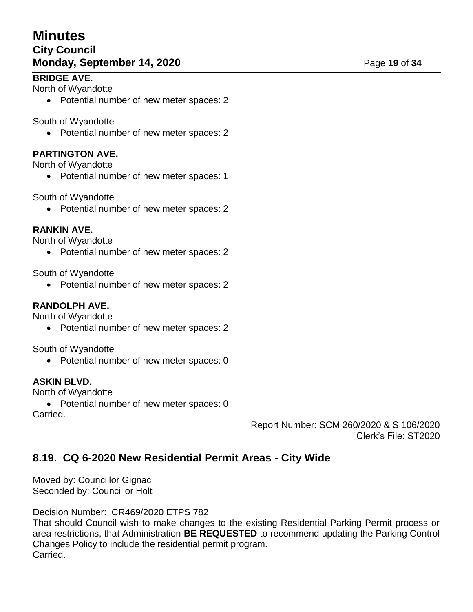# **Minutes City Council Monday, September 14, 2020** Page 19 of 34

## **BRIDGE AVE.**

North of Wyandotte

• Potential number of new meter spaces: 2

#### South of Wyandotte

• Potential number of new meter spaces: 2

## **PARTINGTON AVE.**

North of Wyandotte

• Potential number of new meter spaces: 1

#### South of Wyandotte

• Potential number of new meter spaces: 2

#### **RANKIN AVE.**

North of Wyandotte

• Potential number of new meter spaces: 2

South of Wyandotte

• Potential number of new meter spaces: 2

#### **RANDOLPH AVE.**

North of Wyandotte

• Potential number of new meter spaces: 2

South of Wyandotte

• Potential number of new meter spaces: 0

#### **ASKIN BLVD.**

North of Wyandotte

• Potential number of new meter spaces: 0 Carried.

> Report Number: SCM 260/2020 & S 106/2020 Clerk's File: ST2020

# **8.19. CQ 6-2020 New Residential Permit Areas - City Wide**

Moved by: Councillor Gignac Seconded by: Councillor Holt

Decision Number: CR469/2020 ETPS 782

That should Council wish to make changes to the existing Residential Parking Permit process or area restrictions, that Administration **BE REQUESTED** to recommend updating the Parking Control Changes Policy to include the residential permit program. Carried.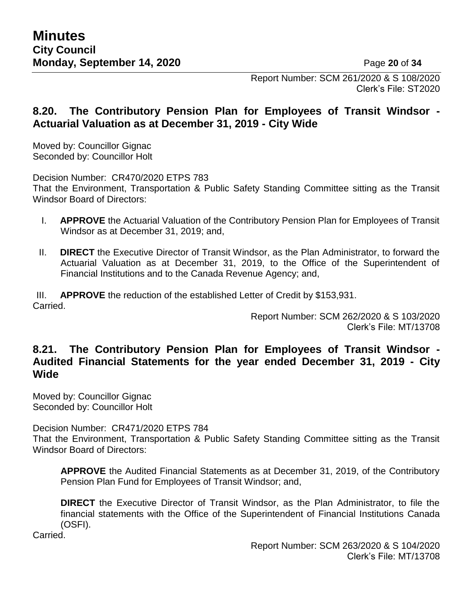Report Number: SCM 261/2020 & S 108/2020 Clerk's File: ST2020

# **8.20. The Contributory Pension Plan for Employees of Transit Windsor - Actuarial Valuation as at December 31, 2019 - City Wide**

Moved by: Councillor Gignac Seconded by: Councillor Holt

Decision Number: CR470/2020 ETPS 783

That the Environment, Transportation & Public Safety Standing Committee sitting as the Transit Windsor Board of Directors:

- I. **APPROVE** the Actuarial Valuation of the Contributory Pension Plan for Employees of Transit Windsor as at December 31, 2019; and,
- II. **DIRECT** the Executive Director of Transit Windsor, as the Plan Administrator, to forward the Actuarial Valuation as at December 31, 2019, to the Office of the Superintendent of Financial Institutions and to the Canada Revenue Agency; and,

III. **APPROVE** the reduction of the established Letter of Credit by \$153,931. Carried.

> Report Number: SCM 262/2020 & S 103/2020 Clerk's File: MT/13708

# **8.21. The Contributory Pension Plan for Employees of Transit Windsor - Audited Financial Statements for the year ended December 31, 2019 - City Wide**

Moved by: Councillor Gignac Seconded by: Councillor Holt

Decision Number: CR471/2020 ETPS 784

That the Environment, Transportation & Public Safety Standing Committee sitting as the Transit Windsor Board of Directors:

**APPROVE** the Audited Financial Statements as at December 31, 2019, of the Contributory Pension Plan Fund for Employees of Transit Windsor; and,

**DIRECT** the Executive Director of Transit Windsor, as the Plan Administrator, to file the financial statements with the Office of the Superintendent of Financial Institutions Canada (OSFI).

Carried.

Report Number: SCM 263/2020 & S 104/2020 Clerk's File: MT/13708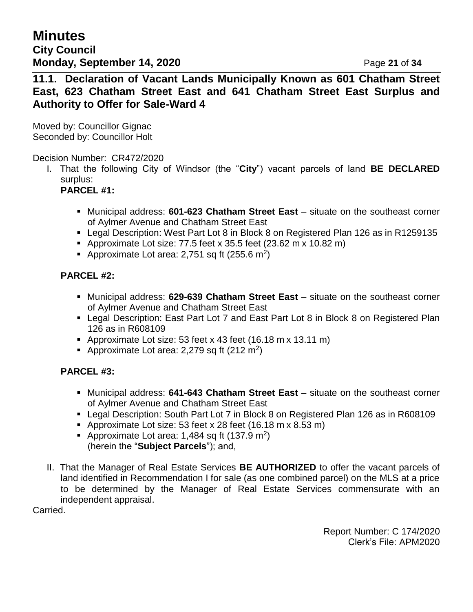**Minutes City Council Monday, September 14, 2020** Page 21 of 34

**11.1. Declaration of Vacant Lands Municipally Known as 601 Chatham Street East, 623 Chatham Street East and 641 Chatham Street East Surplus and Authority to Offer for Sale-Ward 4**

Moved by: Councillor Gignac Seconded by: Councillor Holt

#### Decision Number: CR472/2020

I. That the following City of Windsor (the "**City**") vacant parcels of land **BE DECLARED**  surplus:

#### **PARCEL #1:**

- Municipal address: **601-623 Chatham Street East** situate on the southeast corner of Aylmer Avenue and Chatham Street East
- Legal Description: West Part Lot 8 in Block 8 on Registered Plan 126 as in R1259135
- Approximate Lot size: 77.5 feet x 35.5 feet  $(23.62 \text{ m} \times 10.82 \text{ m})$
- Approximate Lot area: 2,751 sq ft (255.6 m<sup>2</sup>)

#### **PARCEL #2:**

- Municipal address: **629-639 Chatham Street East** situate on the southeast corner of Aylmer Avenue and Chatham Street East
- Legal Description: East Part Lot 7 and East Part Lot 8 in Block 8 on Registered Plan 126 as in R608109
- Approximate Lot size: 53 feet x 43 feet  $(16.18 \text{ m} \times 13.11 \text{ m})$
- Approximate Lot area: 2,279 sq ft  $(212 \text{ m}^2)$

#### **PARCEL #3:**

- Municipal address: **641-643 Chatham Street East** situate on the southeast corner of Aylmer Avenue and Chatham Street East
- Legal Description: South Part Lot 7 in Block 8 on Registered Plan 126 as in R608109
- Approximate Lot size: 53 feet x 28 feet  $(16.18 \text{ m} \times 8.53 \text{ m})$
- Approximate Lot area: 1,484 sq ft (137.9 m<sup>2</sup>) (herein the "**Subject Parcels**"); and,
- II. That the Manager of Real Estate Services **BE AUTHORIZED** to offer the vacant parcels of land identified in Recommendation I for sale (as one combined parcel) on the MLS at a price to be determined by the Manager of Real Estate Services commensurate with an independent appraisal.

Carried.

Report Number: C 174/2020 Clerk's File: APM2020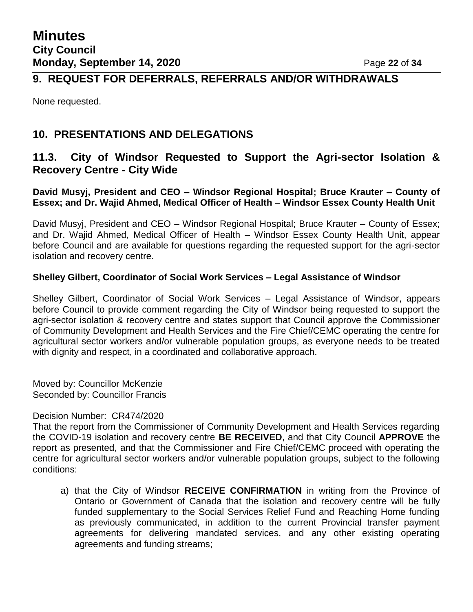# **9. REQUEST FOR DEFERRALS, REFERRALS AND/OR WITHDRAWALS**

None requested.

# **10. PRESENTATIONS AND DELEGATIONS**

## **11.3. City of Windsor Requested to Support the Agri-sector Isolation & Recovery Centre - City Wide**

**David Musyj, President and CEO – Windsor Regional Hospital; Bruce Krauter – County of Essex; and Dr. Wajid Ahmed, Medical Officer of Health – Windsor Essex County Health Unit**

David Musyj, President and CEO – Windsor Regional Hospital; Bruce Krauter – County of Essex; and Dr. Wajid Ahmed, Medical Officer of Health – Windsor Essex County Health Unit, appear before Council and are available for questions regarding the requested support for the agri-sector isolation and recovery centre.

#### **Shelley Gilbert, Coordinator of Social Work Services – Legal Assistance of Windsor**

Shelley Gilbert, Coordinator of Social Work Services – Legal Assistance of Windsor, appears before Council to provide comment regarding the City of Windsor being requested to support the agri-sector isolation & recovery centre and states support that Council approve the Commissioner of Community Development and Health Services and the Fire Chief/CEMC operating the centre for agricultural sector workers and/or vulnerable population groups, as everyone needs to be treated with dignity and respect, in a coordinated and collaborative approach.

Moved by: Councillor McKenzie Seconded by: Councillor Francis

#### Decision Number: CR474/2020

That the report from the Commissioner of Community Development and Health Services regarding the COVID-19 isolation and recovery centre **BE RECEIVED**, and that City Council **APPROVE** the report as presented, and that the Commissioner and Fire Chief/CEMC proceed with operating the centre for agricultural sector workers and/or vulnerable population groups, subject to the following conditions:

a) that the City of Windsor **RECEIVE CONFIRMATION** in writing from the Province of Ontario or Government of Canada that the isolation and recovery centre will be fully funded supplementary to the Social Services Relief Fund and Reaching Home funding as previously communicated, in addition to the current Provincial transfer payment agreements for delivering mandated services, and any other existing operating agreements and funding streams;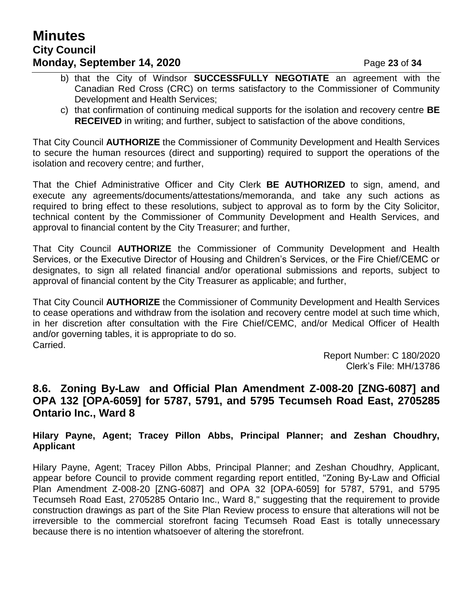# **Minutes City Council Monday, September 14, 2020** Page 23 of 34

- b) that the City of Windsor **SUCCESSFULLY NEGOTIATE** an agreement with the Canadian Red Cross (CRC) on terms satisfactory to the Commissioner of Community Development and Health Services;
- c) that confirmation of continuing medical supports for the isolation and recovery centre **BE RECEIVED** in writing; and further, subject to satisfaction of the above conditions,

That City Council **AUTHORIZE** the Commissioner of Community Development and Health Services to secure the human resources (direct and supporting) required to support the operations of the isolation and recovery centre; and further,

That the Chief Administrative Officer and City Clerk **BE AUTHORIZED** to sign, amend, and execute any agreements/documents/attestations/memoranda, and take any such actions as required to bring effect to these resolutions, subject to approval as to form by the City Solicitor, technical content by the Commissioner of Community Development and Health Services, and approval to financial content by the City Treasurer; and further,

That City Council **AUTHORIZE** the Commissioner of Community Development and Health Services, or the Executive Director of Housing and Children's Services, or the Fire Chief/CEMC or designates, to sign all related financial and/or operational submissions and reports, subject to approval of financial content by the City Treasurer as applicable; and further,

That City Council **AUTHORIZE** the Commissioner of Community Development and Health Services to cease operations and withdraw from the isolation and recovery centre model at such time which, in her discretion after consultation with the Fire Chief/CEMC, and/or Medical Officer of Health and/or governing tables, it is appropriate to do so. Carried.

> Report Number: C 180/2020 Clerk's File: MH/13786

# **8.6. Zoning By-Law and Official Plan Amendment Z-008-20 [ZNG-6087] and OPA 132 [OPA-6059] for 5787, 5791, and 5795 Tecumseh Road East, 2705285 Ontario Inc., Ward 8**

#### **Hilary Payne, Agent; Tracey Pillon Abbs, Principal Planner; and Zeshan Choudhry, Applicant**

Hilary Payne, Agent; Tracey Pillon Abbs, Principal Planner; and Zeshan Choudhry, Applicant, appear before Council to provide comment regarding report entitled, "Zoning By-Law and Official Plan Amendment Z-008-20 [ZNG-6087] and OPA 32 [OPA-6059] for 5787, 5791, and 5795 Tecumseh Road East, 2705285 Ontario Inc., Ward 8," suggesting that the requirement to provide construction drawings as part of the Site Plan Review process to ensure that alterations will not be irreversible to the commercial storefront facing Tecumseh Road East is totally unnecessary because there is no intention whatsoever of altering the storefront.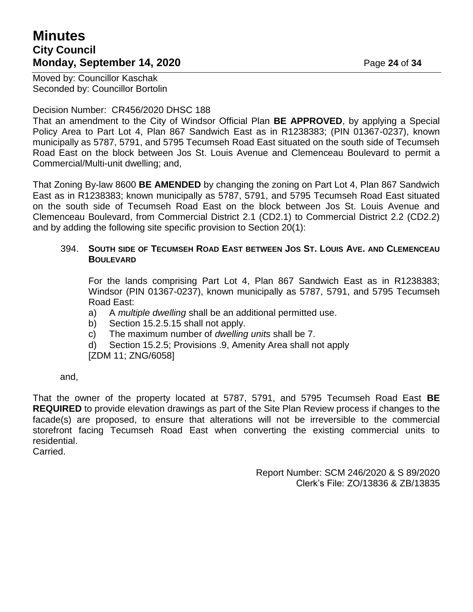# **Minutes City Council Monday, September 14, 2020** Page 24 of 34

Moved by: Councillor Kaschak Seconded by: Councillor Bortolin

#### Decision Number: CR456/2020 DHSC 188

That an amendment to the City of Windsor Official Plan **BE APPROVED**, by applying a Special Policy Area to Part Lot 4, Plan 867 Sandwich East as in R1238383; (PIN 01367-0237), known municipally as 5787, 5791, and 5795 Tecumseh Road East situated on the south side of Tecumseh Road East on the block between Jos St. Louis Avenue and Clemenceau Boulevard to permit a Commercial/Multi-unit dwelling; and,

That Zoning By-law 8600 **BE AMENDED** by changing the zoning on Part Lot 4, Plan 867 Sandwich East as in R1238383; known municipally as 5787, 5791, and 5795 Tecumseh Road East situated on the south side of Tecumseh Road East on the block between Jos St. Louis Avenue and Clemenceau Boulevard, from Commercial District 2.1 (CD2.1) to Commercial District 2.2 (CD2.2) and by adding the following site specific provision to Section 20(1):

#### 394. SOUTH SIDE OF TECUMSEH ROAD EAST BETWEEN JOS ST. LOUIS AVE, AND CLEMENCEAU **BOULEVARD**

For the lands comprising Part Lot 4, Plan 867 Sandwich East as in R1238383; Windsor (PIN 01367-0237), known municipally as 5787, 5791, and 5795 Tecumseh Road East:

a) A *multiple dwelling* shall be an additional permitted use.

- b) Section 15.2.5.15 shall not apply.
- c) The maximum number of *dwelling units* shall be 7.
- d) Section 15.2.5; Provisions .9, Amenity Area shall not apply

[ZDM 11; ZNG/6058]

and,

That the owner of the property located at 5787, 5791, and 5795 Tecumseh Road East **BE REQUIRED** to provide elevation drawings as part of the Site Plan Review process if changes to the facade(s) are proposed, to ensure that alterations will not be irreversible to the commercial storefront facing Tecumseh Road East when converting the existing commercial units to residential.

Carried.

Report Number: SCM 246/2020 & S 89/2020 Clerk's File: ZO/13836 & ZB/13835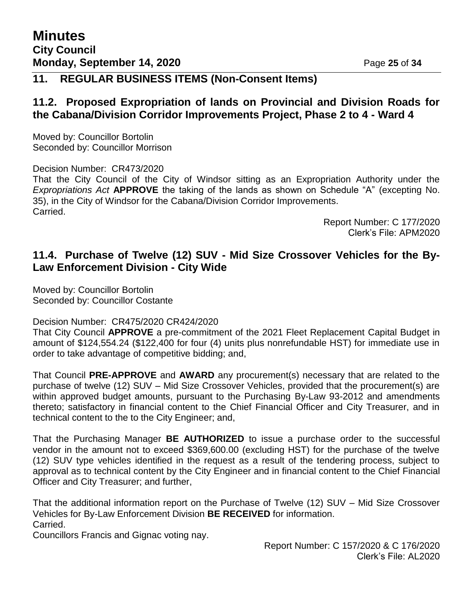# **11. REGULAR BUSINESS ITEMS (Non-Consent Items)**

## **11.2. Proposed Expropriation of lands on Provincial and Division Roads for the Cabana/Division Corridor Improvements Project, Phase 2 to 4 - Ward 4**

Moved by: Councillor Bortolin Seconded by: Councillor Morrison

Decision Number: CR473/2020

That the City Council of the City of Windsor sitting as an Expropriation Authority under the *Expropriations Act* **APPROVE** the taking of the lands as shown on Schedule "A" (excepting No. 35), in the City of Windsor for the Cabana/Division Corridor Improvements. Carried.

> Report Number: C 177/2020 Clerk's File: APM2020

## **11.4. Purchase of Twelve (12) SUV - Mid Size Crossover Vehicles for the By-Law Enforcement Division - City Wide**

Moved by: Councillor Bortolin Seconded by: Councillor Costante

Decision Number: CR475/2020 CR424/2020

That City Council **APPROVE** a pre-commitment of the 2021 Fleet Replacement Capital Budget in amount of \$124,554.24 (\$122,400 for four (4) units plus nonrefundable HST) for immediate use in order to take advantage of competitive bidding; and,

That Council **PRE-APPROVE** and **AWARD** any procurement(s) necessary that are related to the purchase of twelve (12) SUV – Mid Size Crossover Vehicles, provided that the procurement(s) are within approved budget amounts, pursuant to the Purchasing By-Law 93-2012 and amendments thereto; satisfactory in financial content to the Chief Financial Officer and City Treasurer, and in technical content to the to the City Engineer; and,

That the Purchasing Manager **BE AUTHORIZED** to issue a purchase order to the successful vendor in the amount not to exceed \$369,600.00 (excluding HST) for the purchase of the twelve (12) SUV type vehicles identified in the request as a result of the tendering process, subject to approval as to technical content by the City Engineer and in financial content to the Chief Financial Officer and City Treasurer; and further,

That the additional information report on the Purchase of Twelve (12) SUV – Mid Size Crossover Vehicles for By-Law Enforcement Division **BE RECEIVED** for information. Carried.

Councillors Francis and Gignac voting nay.

Report Number: C 157/2020 & C 176/2020 Clerk's File: AL2020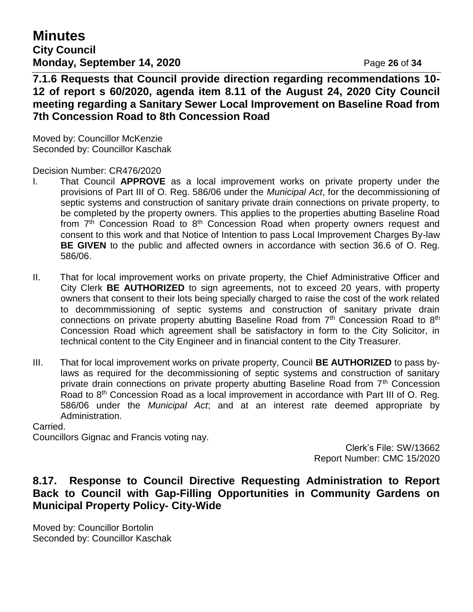**Minutes City Council Monday, September 14, 2020 Page 26 of 34** 

**7.1.6 Requests that Council provide direction regarding recommendations 10- 12 of report s 60/2020, agenda item 8.11 of the August 24, 2020 City Council meeting regarding a Sanitary Sewer Local Improvement on Baseline Road from 7th Concession Road to 8th Concession Road**

Moved by: Councillor McKenzie Seconded by: Councillor Kaschak

Decision Number: CR476/2020

- I. That Council **APPROVE** as a local improvement works on private property under the provisions of Part III of O. Reg. 586/06 under the *Municipal Act*, for the decommissioning of septic systems and construction of sanitary private drain connections on private property, to be completed by the property owners. This applies to the properties abutting Baseline Road from  $7<sup>th</sup>$  Concession Road to  $8<sup>th</sup>$  Concession Road when property owners request and consent to this work and that Notice of Intention to pass Local Improvement Charges By-law **BE GIVEN** to the public and affected owners in accordance with section 36.6 of O. Reg. 586/06.
- II. That for local improvement works on private property, the Chief Administrative Officer and City Clerk **BE AUTHORIZED** to sign agreements, not to exceed 20 years, with property owners that consent to their lots being specially charged to raise the cost of the work related to decommmissioning of septic systems and construction of sanitary private drain connections on private property abutting Baseline Road from  $7<sup>th</sup>$  Concession Road to  $8<sup>th</sup>$ Concession Road which agreement shall be satisfactory in form to the City Solicitor, in technical content to the City Engineer and in financial content to the City Treasurer.
- III. That for local improvement works on private property, Council **BE AUTHORIZED** to pass bylaws as required for the decommissioning of septic systems and construction of sanitary private drain connections on private property abutting Baseline Road from  $7<sup>th</sup>$  Concession Road to 8<sup>th</sup> Concession Road as a local improvement in accordance with Part III of O. Reg. 586/06 under the *Municipal Act*; and at an interest rate deemed appropriate by Administration.

Carried.

Councillors Gignac and Francis voting nay.

Clerk's File: SW/13662 Report Number: CMC 15/2020

# **8.17. Response to Council Directive Requesting Administration to Report Back to Council with Gap-Filling Opportunities in Community Gardens on Municipal Property Policy- City-Wide**

Moved by: Councillor Bortolin Seconded by: Councillor Kaschak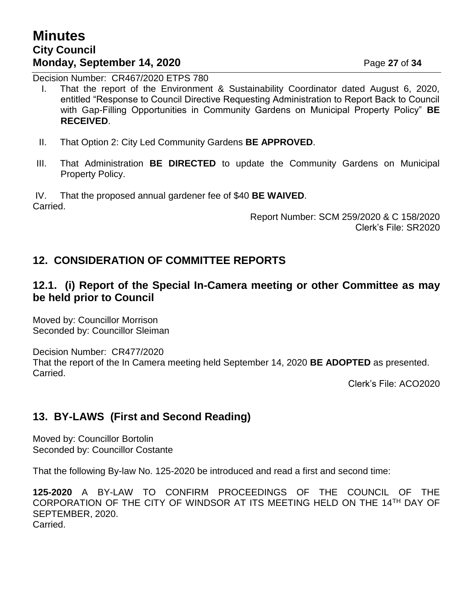# **Minutes City Council Monday, September 14, 2020** Page 27 of 34

Decision Number: CR467/2020 ETPS 780

- I. That the report of the Environment & Sustainability Coordinator dated August 6, 2020, entitled "Response to Council Directive Requesting Administration to Report Back to Council with Gap-Filling Opportunities in Community Gardens on Municipal Property Policy" **BE RECEIVED**.
- II. That Option 2: City Led Community Gardens **BE APPROVED**.
- III. That Administration **BE DIRECTED** to update the Community Gardens on Municipal Property Policy.

IV. That the proposed annual gardener fee of \$40 **BE WAIVED**. Carried.

> Report Number: SCM 259/2020 & C 158/2020 Clerk's File: SR2020

# **12. CONSIDERATION OF COMMITTEE REPORTS**

## **12.1. (i) Report of the Special In-Camera meeting or other Committee as may be held prior to Council**

Moved by: Councillor Morrison Seconded by: Councillor Sleiman

Decision Number: CR477/2020 That the report of the In Camera meeting held September 14, 2020 **BE ADOPTED** as presented. Carried.

Clerk's File: ACO2020

# **13. BY-LAWS (First and Second Reading)**

Moved by: Councillor Bortolin Seconded by: Councillor Costante

That the following By-law No. 125-2020 be introduced and read a first and second time:

**125-2020** A BY-LAW TO CONFIRM PROCEEDINGS OF THE COUNCIL OF THE CORPORATION OF THE CITY OF WINDSOR AT ITS MEETING HELD ON THE 14TH DAY OF SEPTEMBER, 2020.

Carried.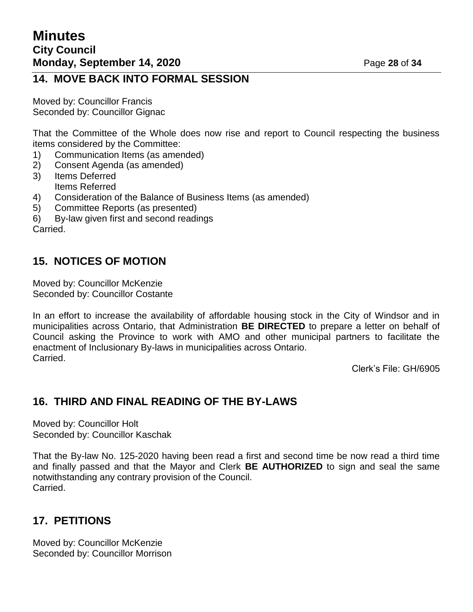# **14. MOVE BACK INTO FORMAL SESSION**

Moved by: Councillor Francis Seconded by: Councillor Gignac

That the Committee of the Whole does now rise and report to Council respecting the business items considered by the Committee:

- 1) Communication Items (as amended)
- 2) Consent Agenda (as amended)
- 3) Items Deferred Items Referred
- 4) Consideration of the Balance of Business Items (as amended)
- 5) Committee Reports (as presented)
- 6) By-law given first and second readings

Carried.

# **15. NOTICES OF MOTION**

Moved by: Councillor McKenzie Seconded by: Councillor Costante

In an effort to increase the availability of affordable housing stock in the City of Windsor and in municipalities across Ontario, that Administration **BE DIRECTED** to prepare a letter on behalf of Council asking the Province to work with AMO and other municipal partners to facilitate the enactment of Inclusionary By-laws in municipalities across Ontario. Carried.

Clerk's File: GH/6905

# **16. THIRD AND FINAL READING OF THE BY-LAWS**

Moved by: Councillor Holt Seconded by: Councillor Kaschak

That the By-law No. 125-2020 having been read a first and second time be now read a third time and finally passed and that the Mayor and Clerk **BE AUTHORIZED** to sign and seal the same notwithstanding any contrary provision of the Council. Carried.

# **17. PETITIONS**

Moved by: Councillor McKenzie Seconded by: Councillor Morrison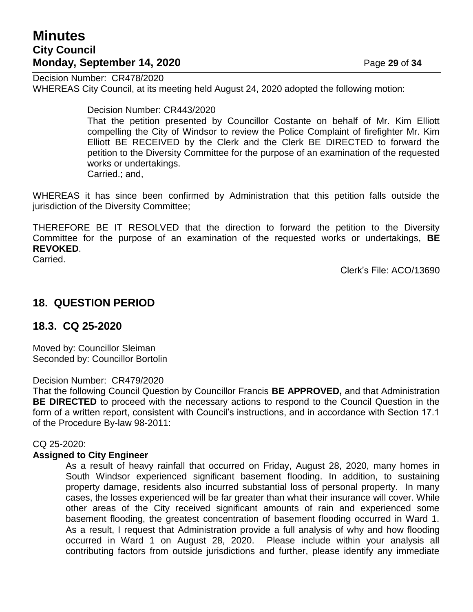# **Minutes City Council Monday, September 14, 2020 Page 29 of 34**

Decision Number: CR478/2020 WHEREAS City Council, at its meeting held August 24, 2020 adopted the following motion:

Decision Number: CR443/2020

That the petition presented by Councillor Costante on behalf of Mr. Kim Elliott compelling the City of Windsor to review the Police Complaint of firefighter Mr. Kim Elliott BE RECEIVED by the Clerk and the Clerk BE DIRECTED to forward the petition to the Diversity Committee for the purpose of an examination of the requested works or undertakings. Carried.; and,

WHEREAS it has since been confirmed by Administration that this petition falls outside the jurisdiction of the Diversity Committee;

THEREFORE BE IT RESOLVED that the direction to forward the petition to the Diversity Committee for the purpose of an examination of the requested works or undertakings, **BE REVOKED**.

Carried.

Clerk's File: ACO/13690

## **18. QUESTION PERIOD**

#### **18.3. CQ 25-2020**

Moved by: Councillor Sleiman Seconded by: Councillor Bortolin

Decision Number: CR479/2020

That the following Council Question by Councillor Francis **BE APPROVED,** and that Administration **BE DIRECTED** to proceed with the necessary actions to respond to the Council Question in the form of a written report, consistent with Council's instructions, and in accordance with Section 17.1 of the Procedure By-law 98-2011:

#### CQ 25-2020:

#### **Assigned to City Engineer**

As a result of heavy rainfall that occurred on Friday, August 28, 2020, many homes in South Windsor experienced significant basement flooding. In addition, to sustaining property damage, residents also incurred substantial loss of personal property. In many cases, the losses experienced will be far greater than what their insurance will cover. While other areas of the City received significant amounts of rain and experienced some basement flooding, the greatest concentration of basement flooding occurred in Ward 1. As a result, I request that Administration provide a full analysis of why and how flooding occurred in Ward 1 on August 28, 2020. Please include within your analysis all contributing factors from outside jurisdictions and further, please identify any immediate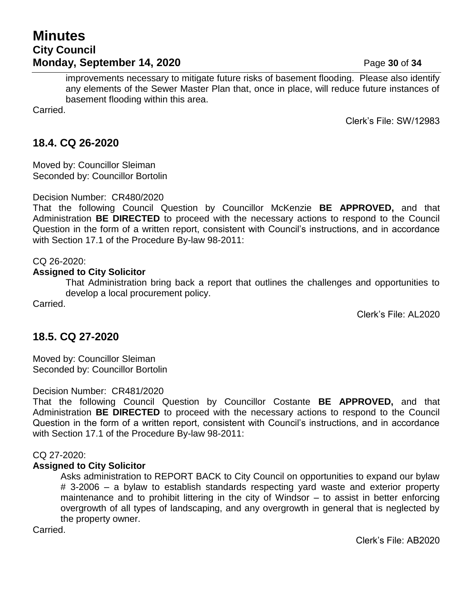# **Minutes City Council Monday, September 14, 2020 Page 30** of 34

improvements necessary to mitigate future risks of basement flooding. Please also identify any elements of the Sewer Master Plan that, once in place, will reduce future instances of basement flooding within this area.

Carried.

Clerk's File: SW/12983

# **18.4. CQ 26-2020**

Moved by: Councillor Sleiman Seconded by: Councillor Bortolin

Decision Number: CR480/2020

That the following Council Question by Councillor McKenzie **BE APPROVED,** and that Administration **BE DIRECTED** to proceed with the necessary actions to respond to the Council Question in the form of a written report, consistent with Council's instructions, and in accordance with Section 17.1 of the Procedure By-law 98-2011:

#### CQ 26-2020:

#### **Assigned to City Solicitor**

That Administration bring back a report that outlines the challenges and opportunities to develop a local procurement policy.

Carried.

Clerk's File: AL2020

# **18.5. CQ 27-2020**

Moved by: Councillor Sleiman Seconded by: Councillor Bortolin

#### Decision Number: CR481/2020

That the following Council Question by Councillor Costante **BE APPROVED,** and that Administration **BE DIRECTED** to proceed with the necessary actions to respond to the Council Question in the form of a written report, consistent with Council's instructions, and in accordance with Section 17.1 of the Procedure By-law 98-2011:

#### CQ 27-2020:

#### **Assigned to City Solicitor**

Asks administration to REPORT BACK to City Council on opportunities to expand our bylaw # 3-2006 – a bylaw to establish standards respecting yard waste and exterior property maintenance and to prohibit littering in the city of Windsor – to assist in better enforcing overgrowth of all types of landscaping, and any overgrowth in general that is neglected by the property owner.

Carried.

Clerk's File: AB2020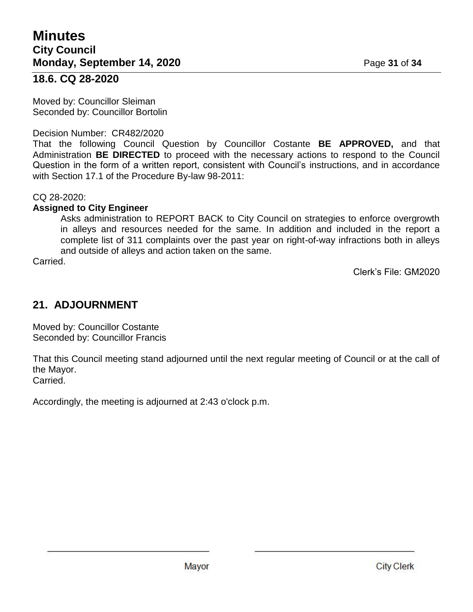### **18.6. CQ 28-2020**

Moved by: Councillor Sleiman Seconded by: Councillor Bortolin

#### Decision Number: CR482/2020

That the following Council Question by Councillor Costante **BE APPROVED,** and that Administration **BE DIRECTED** to proceed with the necessary actions to respond to the Council Question in the form of a written report, consistent with Council's instructions, and in accordance with Section 17.1 of the Procedure By-law 98-2011:

CQ 28-2020:

#### **Assigned to City Engineer**

Asks administration to REPORT BACK to City Council on strategies to enforce overgrowth in alleys and resources needed for the same. In addition and included in the report a complete list of 311 complaints over the past year on right-of-way infractions both in alleys and outside of alleys and action taken on the same.

Carried.

Clerk's File: GM2020

# **21. ADJOURNMENT**

Moved by: Councillor Costante Seconded by: Councillor Francis

That this Council meeting stand adjourned until the next regular meeting of Council or at the call of the Mayor. Carried.

Accordingly, the meeting is adjourned at 2:43 o'clock p.m.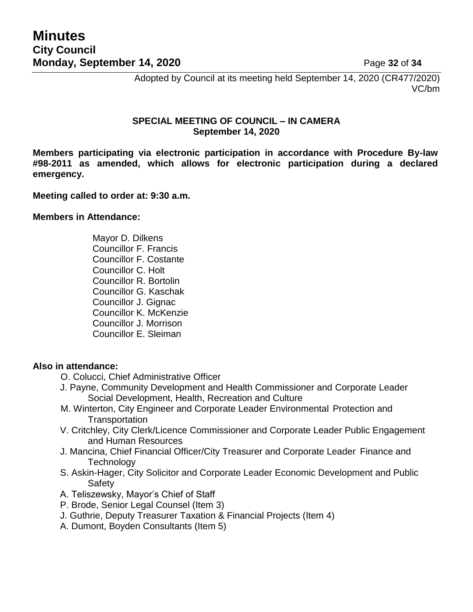Adopted by Council at its meeting held September 14, 2020 (CR477/2020) VC/bm

#### **SPECIAL MEETING OF COUNCIL – IN CAMERA September 14, 2020**

**Members participating via electronic participation in accordance with Procedure By-law #98-2011 as amended, which allows for electronic participation during a declared emergency.**

#### **Meeting called to order at: 9:30 a.m.**

#### **Members in Attendance:**

Mayor D. Dilkens Councillor F. Francis Councillor F. Costante Councillor C. Holt Councillor R. Bortolin Councillor G. Kaschak Councillor J. Gignac Councillor K. McKenzie Councillor J. Morrison Councillor E. Sleiman

#### **Also in attendance:**

- O. Colucci, Chief Administrative Officer
- J. Payne, Community Development and Health Commissioner and Corporate Leader Social Development, Health, Recreation and Culture
- M. Winterton, City Engineer and Corporate Leader Environmental Protection and **Transportation**
- V. Critchley, City Clerk/Licence Commissioner and Corporate Leader Public Engagement and Human Resources
- J. Mancina, Chief Financial Officer/City Treasurer and Corporate Leader Finance and **Technology**
- S. Askin-Hager, City Solicitor and Corporate Leader Economic Development and Public **Safety**
- A. Teliszewsky, Mayor's Chief of Staff
- P. Brode, Senior Legal Counsel (Item 3)
- J. Guthrie, Deputy Treasurer Taxation & Financial Projects (Item 4)
- A. Dumont, Boyden Consultants (Item 5)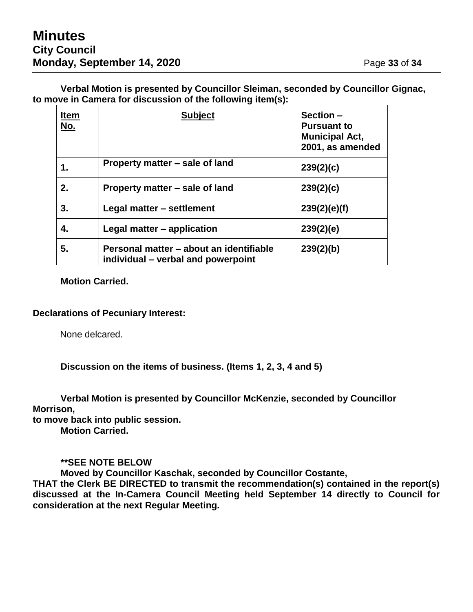**Verbal Motion is presented by Councillor Sleiman, seconded by Councillor Gignac, to move in Camera for discussion of the following item(s):**

| <b>Item</b><br><u>No.</u> | <b>Subject</b>                                                                | Section-<br><b>Pursuant to</b><br><b>Municipal Act,</b><br>2001, as amended |
|---------------------------|-------------------------------------------------------------------------------|-----------------------------------------------------------------------------|
| 1.                        | Property matter – sale of land                                                | 239(2)(c)                                                                   |
| 2.                        | Property matter – sale of land                                                | 239(2)(c)                                                                   |
| 3.                        | Legal matter - settlement                                                     | 239(2)(e)(f)                                                                |
| 4.                        | Legal matter – application                                                    | 239(2)(e)                                                                   |
| 5.                        | Personal matter – about an identifiable<br>individual – verbal and powerpoint | 239(2)(b)                                                                   |

**Motion Carried.**

#### **Declarations of Pecuniary Interest:**

None delcared.

**Discussion on the items of business. (Items 1, 2, 3, 4 and 5)**

**Verbal Motion is presented by Councillor McKenzie, seconded by Councillor Morrison,**

**to move back into public session.**

**Motion Carried.**

#### **\*\*SEE NOTE BELOW**

**Moved by Councillor Kaschak, seconded by Councillor Costante,**

**THAT the Clerk BE DIRECTED to transmit the recommendation(s) contained in the report(s) discussed at the In-Camera Council Meeting held September 14 directly to Council for consideration at the next Regular Meeting.**